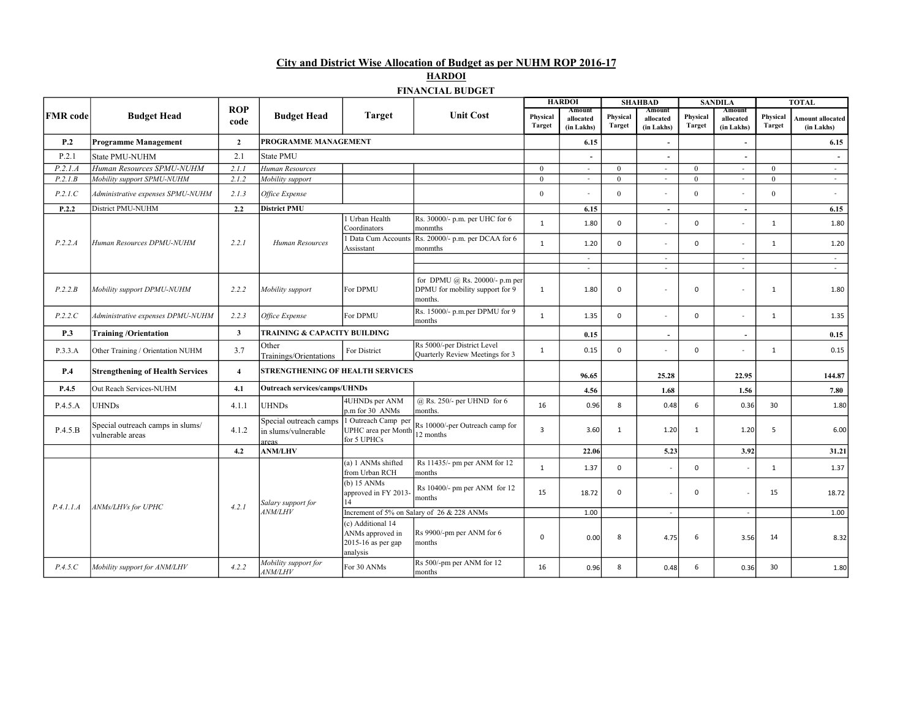City and District Wise Allocation of Budget as per NUHM ROP 2016-17

| HARDOI                  |  |
|-------------------------|--|
| <b>FINANCIAL RHDCFT</b> |  |

|                 |                                                      |                             |                                                       |                                                                         |                                                                              |                                        | <b>HARDOI</b>                     |                           | <b>SHAHBAD</b>                    |                    | <b>SANDILA</b>                    |                    | <b>TOTAL</b>                          |      |
|-----------------|------------------------------------------------------|-----------------------------|-------------------------------------------------------|-------------------------------------------------------------------------|------------------------------------------------------------------------------|----------------------------------------|-----------------------------------|---------------------------|-----------------------------------|--------------------|-----------------------------------|--------------------|---------------------------------------|------|
| <b>FMR</b> code | <b>Budget Head</b>                                   | <b>ROP</b><br>code          | <b>Budget Head</b>                                    | <b>Target</b>                                                           | <b>Unit Cost</b>                                                             | Physical<br><b>Target</b>              | Amount<br>allocated<br>(in Lakhs) | Physical<br><b>Target</b> | Amount<br>allocated<br>(in Lakhs) | Physical<br>Target | Amount<br>allocated<br>(in Lakhs) | Physical<br>Target | <b>Amount allocated</b><br>(in Lakhs) |      |
| P.2             | <b>Programme Management</b>                          | $\overline{2}$              | PROGRAMME MANAGEMENT                                  |                                                                         |                                                                              |                                        | 6.15                              |                           | $\blacksquare$                    |                    |                                   |                    | 6.15                                  |      |
| P.2.1           | <b>State PMU-NUHM</b>                                | 2.1                         | State PMU                                             |                                                                         |                                                                              |                                        |                                   |                           | L.                                |                    |                                   |                    |                                       |      |
| P.2.1.A         | Human Resources SPMU-NUHM                            | 2.1.1                       | Human Resources                                       |                                                                         |                                                                              | $\overline{0}$                         | $\sim$                            | $\mathbf{0}$              | $\blacksquare$                    | $\overline{0}$     | $\sim$                            | $\mathbf{0}$       | $\sim$                                |      |
| P.2.1B          | Mobility support SPMU-NUHM                           | 2.1.2                       | Mobility support                                      |                                                                         |                                                                              | $\mathbf{0}$                           | $\sim$                            | $\theta$                  | $\sim$                            | $\theta$           | $\sim$                            | $\mathbf{0}$       | $\sim$                                |      |
| P.2.1.C         | Administrative expenses SPMU-NUHM                    | 2.1.3                       | Office Expense                                        |                                                                         |                                                                              | $\mathbf{0}$                           |                                   | $\theta$                  | $\overline{\phantom{a}}$          | $\theta$           |                                   | $\theta$           | $\sim$                                |      |
| P.2.2           | District PMU-NUHM                                    | 2.2                         | <b>District PMU</b>                                   |                                                                         |                                                                              |                                        | 6.15                              |                           | $\blacksquare$                    |                    | $\overline{\phantom{a}}$          |                    | 6.15                                  |      |
|                 |                                                      |                             |                                                       | 1 Urban Health<br>Coordinators                                          | Rs. 30000/- p.m. per UHC for 6<br>monmths                                    | $\mathbf{1}$                           | 1.80                              | $\mathbf 0$               |                                   | $\mathbf 0$        |                                   | $\mathbf{1}$       | 1.80                                  |      |
| P.2.2.A         | Human Resources DPMU-NUHM                            | 2.2.1                       | Human Resources                                       | <b>Data Cum Accounts</b><br>Assisstant                                  | Rs. 20000/- p.m. per DCAA for 6<br>monmths                                   | $\mathbf{1}$                           | 1.20                              | $\mathbf 0$               |                                   | $\mathbf 0$        |                                   | 1                  | 1.20                                  |      |
|                 |                                                      |                             |                                                       |                                                                         |                                                                              |                                        | $\sim$                            |                           | $\sim$                            |                    | $\sim$                            |                    | $\sim$                                |      |
|                 |                                                      |                             |                                                       |                                                                         |                                                                              |                                        | $\sim$                            |                           | $\sim$                            |                    | $\sim$                            |                    | $\sim$                                |      |
| P.2.2.B         | Mobility support DPMU-NUHM                           | 2.2.2                       | Mobility support                                      | For DPMU                                                                | for DPMU @ Rs. 20000/- p.m per<br>DPMU for mobility support for 9<br>months. | $\mathbf{1}$                           | 1.80                              | $\mathbf 0$               |                                   | 0                  |                                   | 1                  | 1.80                                  |      |
| P.2.2.C         | Administrative expenses DPMU-NUHM                    | 2.2.3                       | Office Expense                                        | For DPMU                                                                | Rs. 15000/- p.m.per DPMU for 9<br>months                                     | $\mathbf{1}$                           | 1.35                              | 0                         | ÷,                                | $\mathbf 0$        |                                   | $\mathbf{1}$       | 1.35                                  |      |
| P.3             | <b>Training/Orientation</b>                          | $\overline{\mathbf{3}}$     | <b>TRAINING &amp; CAPACITY BUILDING</b>               |                                                                         |                                                                              |                                        | 0.15                              |                           | $\blacksquare$                    |                    | $\overline{\phantom{a}}$          |                    | 0.15                                  |      |
| P.3.3.A         | Other Training / Orientation NUHM                    | 3.7                         | Other<br>Trainings/Orientations                       | For District                                                            | Rs 5000/-per District Level<br>Quarterly Review Meetings for 3               | $\mathbf{1}$                           | 0.15                              | $\mathbf 0$               | $\sim$                            | $\mathbf 0$        |                                   | $\mathbf{1}$       | 0.15                                  |      |
| P.4             | <b>Strengthening of Health Services</b>              | $\overline{4}$              | STRENGTHENING OF HEALTH SERVICES                      |                                                                         |                                                                              |                                        | 96.65                             |                           | 25.28                             |                    | 22.95                             |                    | 144.87                                |      |
| P.4.5           | Out Reach Services-NUHM                              | 4.1                         | <b>Outreach services/camps/UHNDs</b>                  |                                                                         |                                                                              |                                        | 4.56                              |                           | 1.68                              |                    | 1.56                              |                    | 7.80                                  |      |
| P.4.5.A         | <b>UHNDs</b>                                         | 4.1.1                       | <b>UHNDs</b>                                          | 4UHNDs per ANM<br>p.m for 30 ANMs                                       | @ Rs. 250/- per UHND for 6<br>months.                                        | 16                                     | 0.96                              | 8                         | 0.48                              | 6                  | 0.36                              | 30                 | 1.80                                  |      |
| P.4.5.B         | Special outreach camps in slums/<br>vulnerable areas | 4.1.2                       | Special outreach camps<br>in slums/vulnerable<br>reas | 1 Outreach Camp per<br>UPHC area per Month<br>for 5 UPHCs               | Rs 10000/-per Outreach camp for<br>12 months                                 | 3                                      | 3.60                              | $\overline{1}$            | 1.20                              | $\mathbf{1}$       | 1.20                              | 5                  | 6.00                                  |      |
|                 |                                                      | 4.2                         | <b>ANM/LHV</b>                                        |                                                                         |                                                                              |                                        | 22.06                             |                           | 5.23                              |                    | 3.92                              |                    | 31.21                                 |      |
|                 |                                                      | 4.2.1<br>ANMs/LHVs for UPHC |                                                       |                                                                         | (a) 1 ANMs shifted<br>from Urban RCH                                         | Rs 11435/- pm per ANM for 12<br>months | $\mathbf{1}$                      | 1.37                      | $\mathbf 0$                       |                    | 0                                 |                    | $\mathbf{1}$                          | 1.37 |
|                 |                                                      |                             | Salary support for<br>4NM/LHV                         | $(b)$ 15 ANMs<br>approved in FY 2013<br>14                              | Rs 10400/- pm per ANM for 12<br>months                                       | 15                                     | 18.72                             | $\mathbf 0$               |                                   | $\mathbf 0$        |                                   | 15                 | 18.72                                 |      |
| P.4.1.1.A       |                                                      |                             |                                                       | Increment of 5% on Salary of 26 & 228 ANMs                              |                                                                              |                                        | 1.00                              |                           | $\sim$                            |                    | $\sim$                            |                    | 1.00                                  |      |
|                 |                                                      |                             |                                                       | (c) Additional 14<br>ANMs approved in<br>2015-16 as per gap<br>analysis | Rs 9900/-pm per ANM for 6<br>months                                          | 0                                      | 0.00                              | 8                         | 4.75                              | 6                  | 3.56                              | 14                 | 8.32                                  |      |
| P.4.5.C         | Mobility support for ANM/LHV                         | 4.2.2                       | Mobility support for<br><i>ANM/LHV</i>                | For 30 ANMs                                                             | Rs 500/-pm per ANM for 12<br>months                                          | 16                                     | 0.96                              | 8                         | 0.48                              | 6                  | 0.36                              | 30                 | 1.80                                  |      |

FINANCIAL BUDGET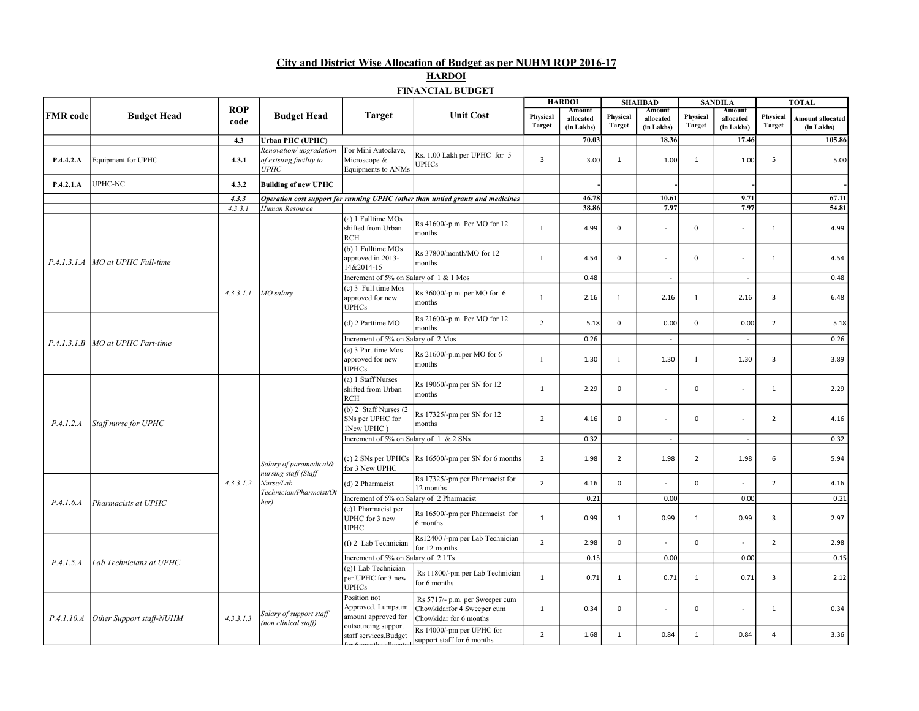## City and District Wise Allocation of Budget as per NUHM ROP 2016-17

# **HARDOI**

### FINANCIAL BUDGET

|                 |                                    |                    |                                                                                                |                                                           |                                                                                        |                           | <b>HARDOI</b>                     |                           | <b>SHAHBAD</b>                    |                           | <b>SANDILA</b>                    |                    | <b>TOTAL</b>                   |
|-----------------|------------------------------------|--------------------|------------------------------------------------------------------------------------------------|-----------------------------------------------------------|----------------------------------------------------------------------------------------|---------------------------|-----------------------------------|---------------------------|-----------------------------------|---------------------------|-----------------------------------|--------------------|--------------------------------|
| <b>FMR</b> code | <b>Budget Head</b>                 | <b>ROP</b><br>code | <b>Budget Head</b>                                                                             | <b>Target</b>                                             | <b>Unit Cost</b>                                                                       | Physical<br><b>Target</b> | Amount<br>allocated<br>(in Lakhs) | Physical<br><b>Target</b> | Amount<br>allocated<br>(in Lakhs) | Physical<br><b>Target</b> | Amount<br>allocated<br>(in Lakhs) | Physical<br>Target | Amount allocated<br>(in Lakhs) |
|                 |                                    | 4.3                | <b>Urban PHC (UPHC)</b>                                                                        |                                                           |                                                                                        |                           | 70.03                             |                           | 18.36                             |                           | 17.46                             |                    | 105.86                         |
| P.4.4.2.A       | Equipment for UPHC                 | 4.3.1              | Renovation/upgradation<br>of existing facility to<br><i><b>UPHC</b></i>                        | For Mini Autoclave,<br>Microscope &<br>Equipments to ANMs | Rs. 1.00 Lakh per UPHC for 5<br><b>UPHCs</b>                                           | $\overline{3}$            | 3.00                              | $\mathbf{1}$              | 1.00                              | $\mathbf{1}$              | 1.00                              | 5                  | 5.00                           |
| P.4.2.1.A       | UPHC-NC                            | 4.3.2              | <b>Building of new UPHC</b>                                                                    |                                                           |                                                                                        |                           |                                   |                           |                                   |                           |                                   |                    |                                |
|                 |                                    | 4.3.3              |                                                                                                |                                                           | Operation cost support for running UPHC (other than untied grants and medicines        |                           | 46.78                             |                           | 10.61                             |                           | 9.71                              |                    | 67.11                          |
|                 |                                    | 4.3.3.1            | Human Resource                                                                                 |                                                           |                                                                                        |                           | 38.86                             |                           | 7.97                              |                           | 7.97                              |                    | 54.81                          |
|                 |                                    |                    |                                                                                                | (a) 1 Fulltime MOs<br>shifted from Urban<br><b>RCH</b>    | Rs 41600/-p.m. Per MO for 12<br>months                                                 | $\overline{1}$            | 4.99                              | $\mathbf{0}$              | $\overline{\phantom{a}}$          | $\boldsymbol{0}$          | ÷.                                | $\mathbf{1}$       | 4.99                           |
|                 | P.4.1.3.1.A MO at UPHC Full-time   |                    |                                                                                                | (b) 1 Fulltime MOs<br>approved in 2013-<br>14&2014-15     | Rs 37800/month/MO for 12<br>months                                                     | $\overline{1}$            | 4.54                              | $\mathbf{0}$              | $\overline{\phantom{a}}$          | $\mathbf{0}$              | $\overline{a}$                    | $\mathbf{1}$       | 4.54                           |
|                 |                                    |                    |                                                                                                | Increment of 5% on Salary of 1 & 1 Mos                    |                                                                                        |                           | 0.48                              |                           | $\sim$                            |                           | $\sim$                            |                    | 0.48                           |
|                 |                                    | 4.3.3.1.1          | MO salary                                                                                      | (c) 3 Full time Mos<br>approved for new<br><b>UPHCs</b>   | Rs 36000/-p.m. per MO for 6<br>months                                                  | $\mathbf{1}$              | 2.16                              | $\mathbf{1}$              | 2.16                              | $\overline{1}$            | 2.16                              | $\overline{3}$     | 6.48                           |
|                 | P.4.1.3.1.B   MO at UPHC Part-time |                    |                                                                                                | (d) 2 Parttime MO                                         | Rs 21600/-p.m. Per MO for 12<br>months                                                 | $\overline{2}$            | 5.18                              | $\overline{0}$            | 0.00                              | $\theta$                  | 0.00                              | $\overline{2}$     | 5.18                           |
|                 |                                    |                    |                                                                                                | Increment of 5% on Salary of 2 Mos                        |                                                                                        |                           | 0.26                              |                           | $\sim$                            |                           |                                   |                    | 0.26                           |
|                 |                                    |                    |                                                                                                | (e) 3 Part time Mos<br>approved for new<br><b>UPHCs</b>   | Rs 21600/-p.m.per MO for 6<br>months                                                   | $\overline{1}$            | 1.30                              | 1                         | 1.30                              | $\overline{1}$            | 1.30                              | $\overline{3}$     | 3.89                           |
|                 | Staff nurse for UPHC               |                    |                                                                                                | (a) 1 Staff Nurses<br>shifted from Urban<br>RCH           | Rs 19060/-pm per SN for 12<br>months                                                   | $\mathbf{1}$              | 2.29                              | $\mathbf 0$               | $\overline{a}$                    | $\mathbf 0$               | $\sim$                            | $\mathbf{1}$       | 2.29                           |
| P.4.1.2.A       |                                    |                    |                                                                                                | (b) 2 Staff Nurses (2<br>SNs per UPHC for<br>1New UPHC)   | Rs 17325/-pm per SN for 12<br>months                                                   | $\overline{2}$            | 4.16                              | $\mathbf 0$               | $\overline{a}$                    | $\mathbf 0$               | $\sim$                            | $\overline{2}$     | 4.16                           |
|                 |                                    |                    |                                                                                                | Increment of 5% on Salary of 1 & 2 SNs                    |                                                                                        |                           | 0.32                              |                           | $\sim$                            |                           | $\sim$                            |                    | 0.32                           |
|                 |                                    |                    | Salary of paramedical&<br>nursing staff (Staff<br>Nurse/Lab<br>Technician/Pharmcist/Ot<br>her) | for 3 New UPHC                                            | (c) $2 \text{ SNs}$ per UPHCs $\text{Rs } 16500$ /-pm per SN for 6 months              | $\overline{2}$            | 1.98                              | $\overline{2}$            | 1.98                              | $\overline{2}$            | 1.98                              | 6                  | 5.94                           |
|                 |                                    | 4.3.3.1.2          |                                                                                                | (d) 2 Pharmacist                                          | Rs 17325/-pm per Pharmacist for<br>12 months                                           | $\overline{2}$            | 4.16                              | $\mathsf 0$               |                                   | $\mathbf 0$               |                                   | $\overline{2}$     | 4.16                           |
| P.4.1.6.4       | Pharmacists at UPHC                |                    |                                                                                                | Increment of 5% on Salary of 2 Pharmacist                 |                                                                                        |                           | 0.21                              |                           | 0.00                              |                           | 0.00                              |                    | 0.21                           |
|                 |                                    |                    |                                                                                                | (e)1 Pharmacist per<br>UPHC for 3 new<br><b>UPHC</b>      | Rs 16500/-pm per Pharmacist for<br>6 months                                            | $\mathbf{1}$              | 0.99                              | $\mathbf{1}$              | 0.99                              | $\mathbf{1}$              | 0.99                              | $\overline{3}$     | 2.97                           |
|                 | Lab Technicians at UPHC            |                    |                                                                                                | (f) 2 Lab Technician                                      | Rs12400 /-pm per Lab Technician<br>for 12 months                                       | $\overline{2}$            | 2.98                              | $\mathsf 0$               |                                   | $\mathbf 0$               |                                   | $\overline{2}$     | 2.98                           |
| P.4.1.5.A       |                                    |                    |                                                                                                | Increment of 5% on Salary of 2 LTs                        |                                                                                        |                           | 0.15                              |                           | 0.00                              |                           | 0.00                              |                    | 0.15                           |
|                 |                                    |                    |                                                                                                | (g)1 Lab Technician<br>per UPHC for 3 new<br><b>UPHCs</b> | Rs 11800/-pm per Lab Technician<br>for 6 months                                        | $\mathbf{1}$              | 0.71                              | $\mathbf{1}$              | 0.71                              | 1                         | 0.71                              | $\overline{3}$     | 2.12                           |
| P.4.1.10.A      | Other Support staff-NUHM           | 4.3.3.1.3          | Salary of support staff<br>(non clinical staff)                                                | Position not<br>Approved. Lumpsum<br>amount approved for  | Rs 5717/- p.m. per Sweeper cum<br>Chowkidarfor 4 Sweeper cum<br>Chowkidar for 6 months | $\mathbf{1}$              | 0.34                              | 0                         |                                   | $\Omega$                  |                                   | $\mathbf{1}$       | 0.34                           |
|                 |                                    |                    |                                                                                                | outsourcing support<br>staff services.Budget              | Rs 14000/-pm per UPHC for<br>support staff for 6 months                                | $\overline{2}$            | 1.68                              | $\mathbf{1}$              | 0.84                              | $\mathbf{1}$              | 0.84                              | $\overline{a}$     | 3.36                           |